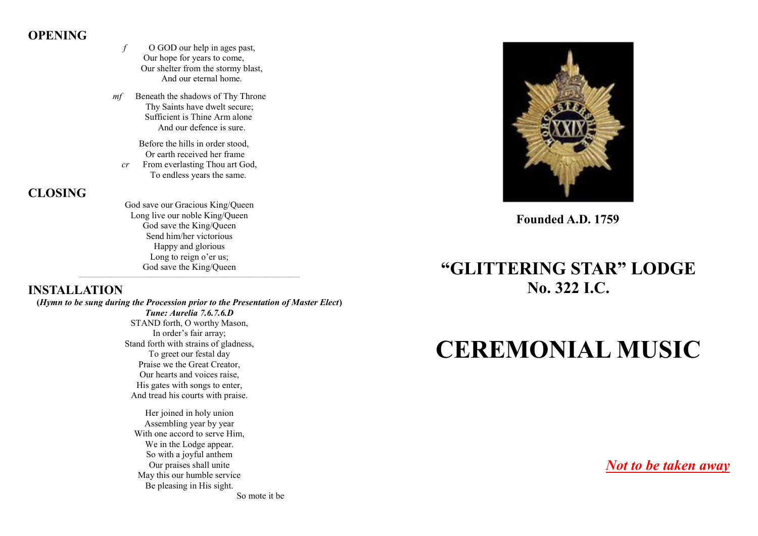# **OPENING**

*f* O GOD our help in ages past, Our hope for years to come, Our shelter from the stormy blast, And our eternal home.

*mf* Beneath the shadows of Thy Throne Thy Saints have dwelt secure; Sufficient is Thine Arm alone And our defence is sure.

 Before the hills in order stood, Or earth received her frame *cr* From everlasting Thou art God, To endless years the same.

**CLOSING**

God save our Gracious King/Queen Long live our noble King/Queen God save the King/Queen Send him/her victorious Happy and glorious Long to reign o'er us; God save the King/Queen  $\_$  ,  $\_$  ,  $\_$  ,  $\_$  ,  $\_$  ,  $\_$  ,  $\_$  ,  $\_$  ,  $\_$  ,  $\_$  ,  $\_$  ,  $\_$  ,  $\_$  ,  $\_$  ,  $\_$  ,  $\_$  ,  $\_$  ,  $\_$  ,  $\_$  ,  $\_$  ,  $\_$  ,  $\_$  ,  $\_$  ,  $\_$  ,  $\_$  ,  $\_$  ,  $\_$  ,  $\_$  ,  $\_$  ,  $\_$  ,  $\_$  ,  $\_$  ,  $\_$  ,  $\_$  ,  $\_$  ,  $\_$  ,  $\_$  ,

# **INSTALLATION**

**(***Hymn to be sung during the Procession prior to the Presentation of Master Elect***)** *Tune: Aurelia 7.6.7.6.D*

> STAND forth, O worthy Mason, In order's fair array; Stand forth with strains of gladness, To greet our festal day Praise we the Great Creator, Our hearts and voices raise, His gates with songs to enter, And tread his courts with praise.

Her joined in holy union Assembling year by year With one accord to serve Him, We in the Lodge appear. So with a joyful anthem Our praises shall unite May this our humble service Be pleasing in His sight. So mote it be

**Founded A.D. 1759**

# **"GLITTERING STAR" LODGE No. 322 I.C.**

# **CEREMONIAL MUSIC**

*Not to be taken away*